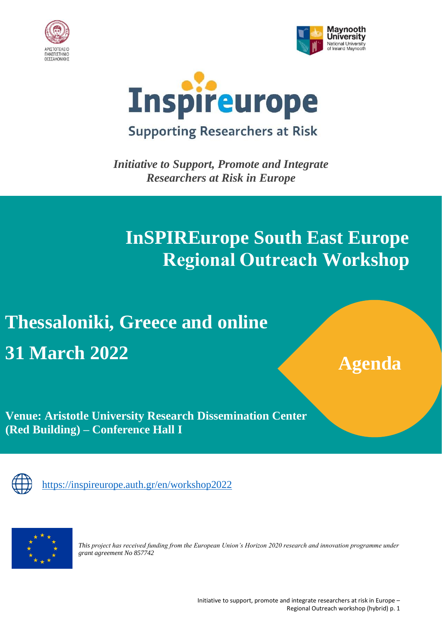





*Initiative to Support, Promote and Integrate Researchers at Risk in Europe*

## **InSPIREurope South East Europe Regional Outreach Workshop**

# **Thessaloniki, Greece and online 31 March 2022**

**Agenda**

**Venue: Aristotle University Research Dissemination Center (Red Building) – Conference Hall I**



[https://inspireurope.auth.gr/en/workshop2022](https://inspireurope.auth.gr/en/workshop202)



*This project has received funding from the European Union's Horizon 2020 research and innovation programme under grant agreement No 857742*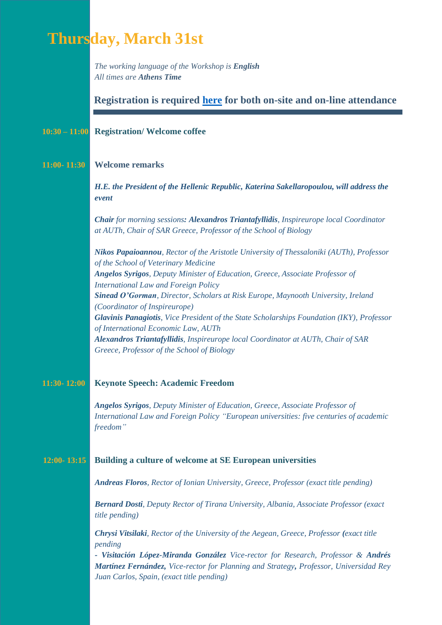### **Thursday, March 31st**

*The working language of the Workshop is English All times are Athens Time*

#### **Registration is required [here](https://inspireurope.auth.gr/en/workshop2022) for both on-site and on-line attendance**

#### **10:30 – 11:00 Registration/ Welcome coffee**

#### **11:00- 11:30 Welcome remarks**

*H.E. the President of the Hellenic Republic, Katerina Sakellaropoulou, will address the event*

*Chair for morning sessions: Alexandros Triantafyllidis, Inspireurope local Coordinator at AUTh, Chair of SAR Greece, Professor of the School of Biology*

*Nikos Papaioannou, Rector of the Aristotle University of Thessaloniki (AUTh), Professor of the School of Veterinary Medicine Angelos Syrigos, Deputy Minister of Education, Greece, Associate Professor of International Law and Foreign Policy Sinead O'Gorman, Director, Scholars at Risk Europe, Maynooth University, Ireland (Coordinator of Inspireurope) Glavinis Panagiotis, Vice President of the State Scholarships Foundation (IKY), Professor of International Economic Law, AUTh Alexandros Triantafyllidis, Inspireurope local Coordinator at AUTh, Chair of SAR Greece, Professor of the School of Biology*

#### **11:30- 12:00 Keynote Speech: Academic Freedom**

*Angelos Syrigos, Deputy Minister of Education, Greece, Associate Professor of International Law and Foreign Policy "European universities: five centuries of academic freedom"*

#### **12:00- 13:15 Building a culture of welcome at SE European universities**

*Andreas Floros, Rector of Ionian University, Greece, Professor (exact title pending)*

*Bernard Dosti, Deputy Rector of Tirana University, Albania, Associate Professor (exact title pending)*

*Chrysi Vitsilaki, Rector of the University of the Aegean, Greece, Professor (exact title pending*

*- Visitación López-Miranda González Vice-rector for Research, Professor & Andrés Martínez Fernández, Vice-rector for Planning and Strategy, Professor, Universidad Rey Juan Carlos, Spain, (exact title pending)*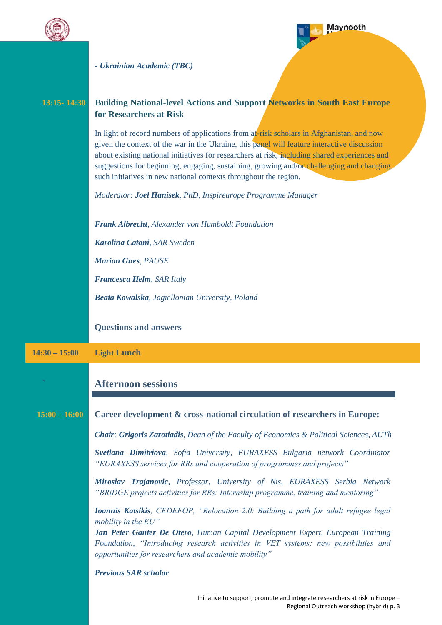



Regional Outreach workshop (hybrid) p. 3

*- Ukrainian Academic (TBC)*

| $13:15 - 14:30$ | <b>Building National-level Actions and Support Networks in South East Europe</b><br>for Researchers at Risk                                                                                                                                                                                                                                                                                                                                              |
|-----------------|----------------------------------------------------------------------------------------------------------------------------------------------------------------------------------------------------------------------------------------------------------------------------------------------------------------------------------------------------------------------------------------------------------------------------------------------------------|
|                 | In light of record numbers of applications from at-risk scholars in Afghanistan, and now<br>given the context of the war in the Ukraine, this panel will feature interactive discussion<br>about existing national initiatives for researchers at risk, including shared experiences and<br>suggestions for beginning, engaging, sustaining, growing and/or challenging and changing<br>such initiatives in new national contexts throughout the region. |
|                 | Moderator: Joel Hanisek, PhD, Inspireurope Programme Manager                                                                                                                                                                                                                                                                                                                                                                                             |
|                 | Frank Albrecht, Alexander von Humboldt Foundation                                                                                                                                                                                                                                                                                                                                                                                                        |
|                 | Karolina Catoni, SAR Sweden                                                                                                                                                                                                                                                                                                                                                                                                                              |
|                 | <b>Marion Gues, PAUSE</b>                                                                                                                                                                                                                                                                                                                                                                                                                                |
|                 | Francesca Helm, SAR Italy                                                                                                                                                                                                                                                                                                                                                                                                                                |
|                 | Beata Kowalska, Jagiellonian University, Poland                                                                                                                                                                                                                                                                                                                                                                                                          |
|                 | <b>Questions and answers</b>                                                                                                                                                                                                                                                                                                                                                                                                                             |
|                 |                                                                                                                                                                                                                                                                                                                                                                                                                                                          |
| $14:30 - 15:00$ | <b>Light Lunch</b>                                                                                                                                                                                                                                                                                                                                                                                                                                       |
|                 | <b>Afternoon sessions</b>                                                                                                                                                                                                                                                                                                                                                                                                                                |
| $15:00 - 16:00$ | Career development & cross-national circulation of researchers in Europe:                                                                                                                                                                                                                                                                                                                                                                                |
|                 | <b>Chair: Grigoris Zarotiadis, Dean of the Faculty of Economics &amp; Political Sciences, AUTh</b>                                                                                                                                                                                                                                                                                                                                                       |
|                 | Svetlana Dimitriova, Sofia University, EURAXESS Bulgaria network Coordinator<br>"EURAXESS services for RRs and cooperation of programmes and projects"                                                                                                                                                                                                                                                                                                   |
|                 | Miroslav Trajanovic, Professor, University of Nis, EURAXESS Serbia Network<br>"BRiDGE projects activities for RRs: Internship programme, training and mentoring"                                                                                                                                                                                                                                                                                         |
|                 | <b>Ioannis Katsikis</b> , CEDEFOP, "Relocation 2.0: Building a path for adult refugee legal<br>mobility in the EU"                                                                                                                                                                                                                                                                                                                                       |
|                 | <b>Jan Peter Ganter De Otero, Human Capital Development Expert, European Training</b><br>Foundation, "Introducing research activities in VET systems: new possibilities and<br>opportunities for researchers and academic mobility"                                                                                                                                                                                                                      |
|                 | <b>Previous SAR scholar</b>                                                                                                                                                                                                                                                                                                                                                                                                                              |